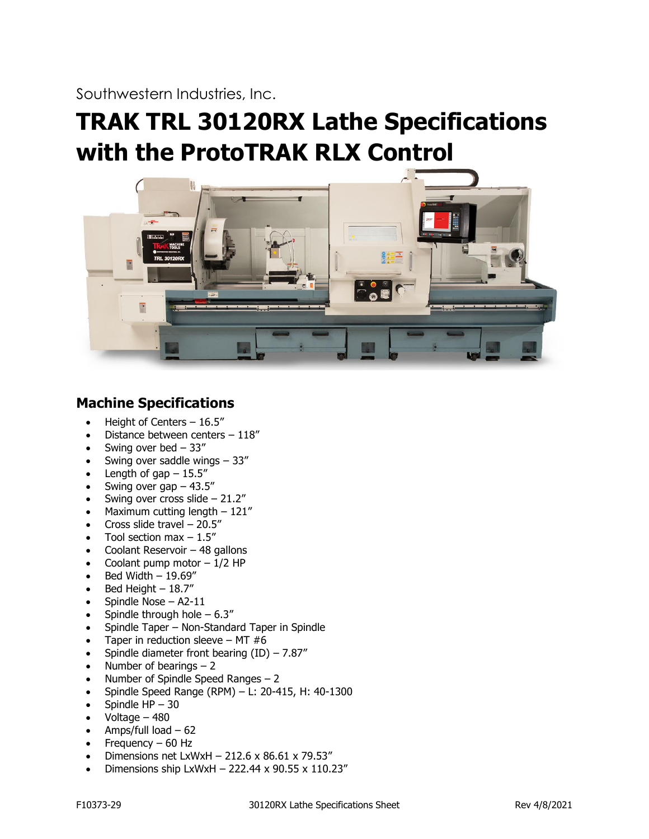Southwestern Industries, Inc.

# **TRAK TRL 30120RX Lathe Specifications with the ProtoTRAK RLX Control**



# **Machine Specifications**

- Height of Centers 16.5"
- Distance between centers 118"
- Swing over bed  $-33''$
- Swing over saddle wings  $-33''$
- Length of gap  $-15.5$ "
- Swing over gap  $-43.5$ "
- Swing over cross slide  $-21.2$ "
- Maximum cutting length  $-121''$
- Cross slide travel  $-20.5$ "
- Tool section max  $-1.5$ "
- Coolant Reservoir  $-48$  gallons
- Coolant pump motor  $-1/2$  HP
- Bed Width 19.69"
- Bed Height  $-18.7$ "
- Spindle Nose A2-11
- Spindle through hole  $-6.3$ "
- Spindle Taper Non-Standard Taper in Spindle
- Taper in reduction sleeve MT  $#6$
- Spindle diameter front bearing  $(ID) 7.87''$
- Number of bearings  $-2$
- Number of Spindle Speed Ranges  $-2$
- Spindle Speed Range (RPM) L: 20-415, H: 40-1300
- Spindle  $HP 30$
- Voltage 480
- Amps/full load  $-62$
- Frequency  $-60$  Hz
- Dimensions net LxWxH 212.6 x 86.61 x 79.53"
- Dimensions ship LxWxH 222.44 x 90.55 x 110.23"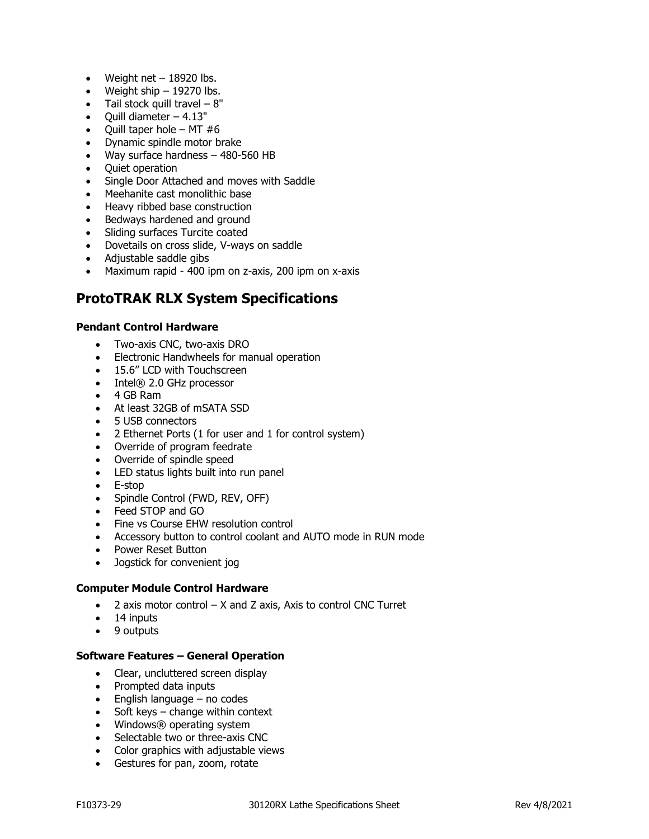- Weight net  $-18920$  lbs.
- Weight ship  $-19270$  lbs.
- Tail stock quill travel  $-8$ "
- Quill diameter  $-4.13"$
- Ouill taper hole MT  $#6$
- Dynamic spindle motor brake
- Way surface hardness 480-560 HB
- Quiet operation
- Single Door Attached and moves with Saddle
- Meehanite cast monolithic base
- Heavy ribbed base construction
- Bedways hardened and ground
- Sliding surfaces Turcite coated
- Dovetails on cross slide, V-ways on saddle
- Adjustable saddle gibs
- Maximum rapid 400 ipm on z-axis, 200 ipm on x-axis

# **ProtoTRAK RLX System Specifications**

#### **Pendant Control Hardware**

- Two-axis CNC, two-axis DRO
- Electronic Handwheels for manual operation
- 15.6" LCD with Touchscreen
- Intel® 2.0 GHz processor
- 4 GB Ram
- At least 32GB of mSATA SSD
- 5 USB connectors
- 2 Ethernet Ports (1 for user and 1 for control system)
- Override of program feedrate
- Override of spindle speed
- LED status lights built into run panel
- E-stop
- Spindle Control (FWD, REV, OFF)
- Feed STOP and GO
- Fine vs Course EHW resolution control
- Accessory button to control coolant and AUTO mode in RUN mode
- Power Reset Button
- Jogstick for convenient jog

## **Computer Module Control Hardware**

- $\bullet$  2 axis motor control  $-$  X and Z axis, Axis to control CNC Turret
- 14 inputs
- 9 outputs

#### **Software Features – General Operation**

- Clear, uncluttered screen display
- Prompted data inputs
- English language no codes
- Soft keys change within context
- Windows® operating system
- Selectable two or three-axis CNC
- Color graphics with adjustable views
- Gestures for pan, zoom, rotate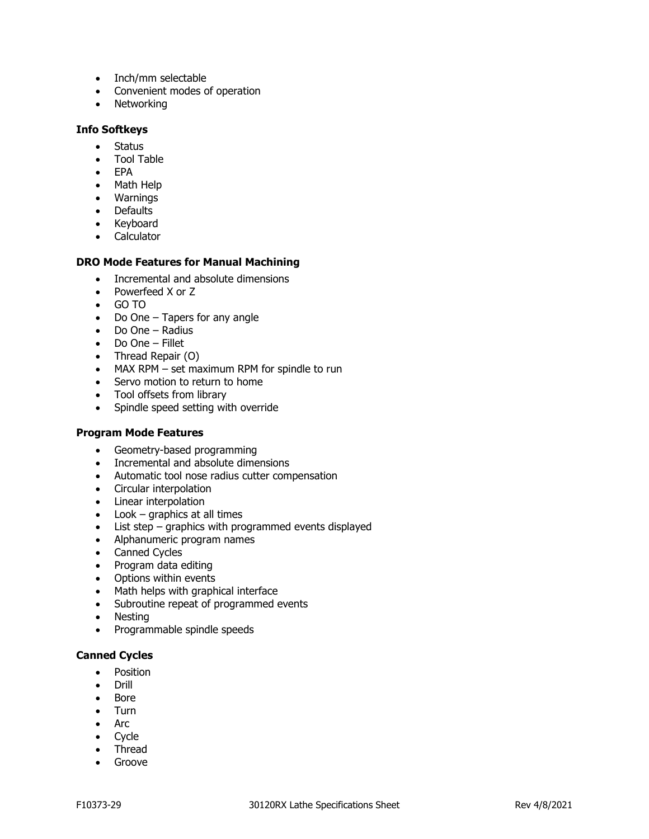- Inch/mm selectable
- Convenient modes of operation
- Networking

#### **Info Softkeys**

- Status
- Tool Table
- EPA
- Math Help
- Warnings
- Defaults
- Keyboard
- Calculator

#### **DRO Mode Features for Manual Machining**

- Incremental and absolute dimensions
- Powerfeed X or Z
- GO TO
- Do One Tapers for any angle
- Do One Radius
- Do One Fillet
- Thread Repair (O)
- MAX RPM set maximum RPM for spindle to run
- Servo motion to return to home
- Tool offsets from library
- Spindle speed setting with override

#### **Program Mode Features**

- Geometry-based programming
- Incremental and absolute dimensions
- Automatic tool nose radius cutter compensation
- Circular interpolation
- Linear interpolation
- Look graphics at all times
- List step graphics with programmed events displayed
- Alphanumeric program names
- Canned Cycles
- Program data editing
- Options within events
- Math helps with graphical interface
- Subroutine repeat of programmed events
- Nesting
- Programmable spindle speeds

## **Canned Cycles**

- Position
- Drill
- Bore
- Turn
- Arc
- Cycle
- Thread
- Groove